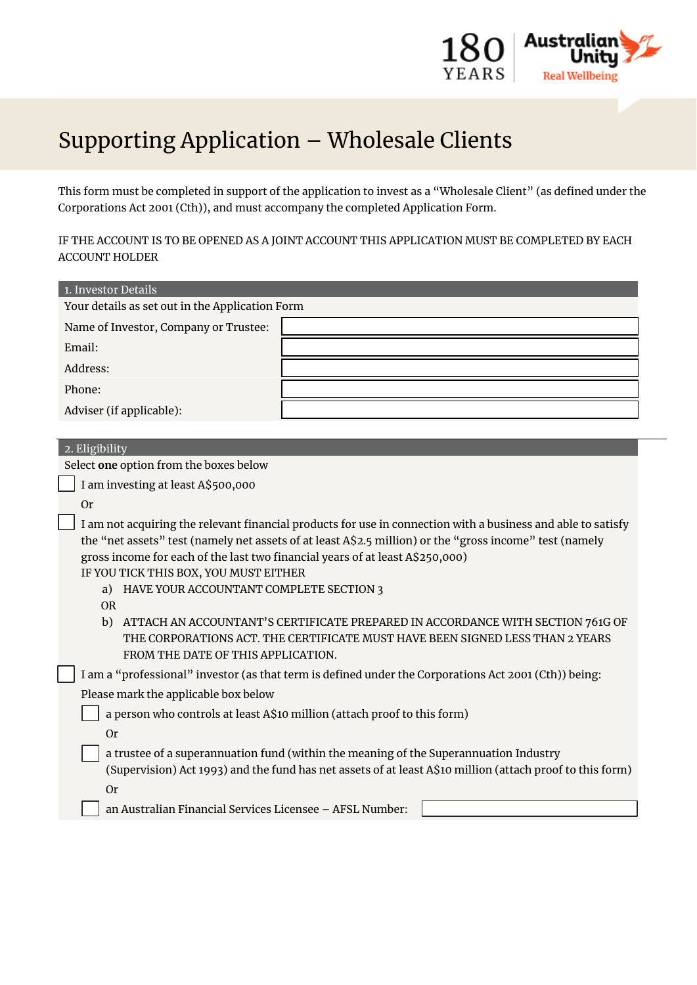

## Supporting Application – Wholesale Clients

This form must be completed in support of the application to invest as a "Wholesale Client" (as defined under the Corporations Act 2001 (Cth)), and must accompany the completed Application Form.

IF THE ACCOUNT IS TO BE OPENED AS A JOINT ACCOUNT THIS APPLICATION MUST BE COMPLETED BY EACH ACCOUNT HOLDER

| 1. Investor Details                                                                                                                                                                                                                                                                                                                                                                                                                                                                                  |  |
|------------------------------------------------------------------------------------------------------------------------------------------------------------------------------------------------------------------------------------------------------------------------------------------------------------------------------------------------------------------------------------------------------------------------------------------------------------------------------------------------------|--|
| Your details as set out in the Application Form                                                                                                                                                                                                                                                                                                                                                                                                                                                      |  |
| Name of Investor, Company or Trustee:                                                                                                                                                                                                                                                                                                                                                                                                                                                                |  |
| Email:                                                                                                                                                                                                                                                                                                                                                                                                                                                                                               |  |
| Address:                                                                                                                                                                                                                                                                                                                                                                                                                                                                                             |  |
| Phone:                                                                                                                                                                                                                                                                                                                                                                                                                                                                                               |  |
| Adviser (if applicable):                                                                                                                                                                                                                                                                                                                                                                                                                                                                             |  |
|                                                                                                                                                                                                                                                                                                                                                                                                                                                                                                      |  |
| 2. Eligibility                                                                                                                                                                                                                                                                                                                                                                                                                                                                                       |  |
| Select one option from the boxes below                                                                                                                                                                                                                                                                                                                                                                                                                                                               |  |
| I am investing at least A\$500,000                                                                                                                                                                                                                                                                                                                                                                                                                                                                   |  |
| <b>Or</b>                                                                                                                                                                                                                                                                                                                                                                                                                                                                                            |  |
| I am not acquiring the relevant financial products for use in connection with a business and able to satisfy<br>the "net assets" test (namely net assets of at least A\$2.5 million) or the "gross income" test (namely<br>gross income for each of the last two financial years of at least A\$250,000)<br>IF YOU TICK THIS BOX, YOU MUST EITHER<br>a) HAVE YOUR ACCOUNTANT COMPLETE SECTION 3<br><b>OR</b><br>ATTACH AN ACCOUNTANT'S CERTIFICATE PREPARED IN ACCORDANCE WITH SECTION 761G OF<br>b) |  |
| THE CORPORATIONS ACT. THE CERTIFICATE MUST HAVE BEEN SIGNED LESS THAN 2 YEARS<br>FROM THE DATE OF THIS APPLICATION.                                                                                                                                                                                                                                                                                                                                                                                  |  |
| I am a "professional" investor (as that term is defined under the Corporations Act 2001 (Cth)) being:                                                                                                                                                                                                                                                                                                                                                                                                |  |
| Please mark the applicable box below                                                                                                                                                                                                                                                                                                                                                                                                                                                                 |  |
| a person who controls at least A\$10 million (attach proof to this form)                                                                                                                                                                                                                                                                                                                                                                                                                             |  |
| <b>Or</b>                                                                                                                                                                                                                                                                                                                                                                                                                                                                                            |  |
| a trustee of a superannuation fund (within the meaning of the Superannuation Industry<br>(Supervision) Act 1993) and the fund has net assets of at least A\$10 million (attach proof to this form)                                                                                                                                                                                                                                                                                                   |  |
| <b>Or</b>                                                                                                                                                                                                                                                                                                                                                                                                                                                                                            |  |
| an Australian Financial Services Licensee - AFSL Number:                                                                                                                                                                                                                                                                                                                                                                                                                                             |  |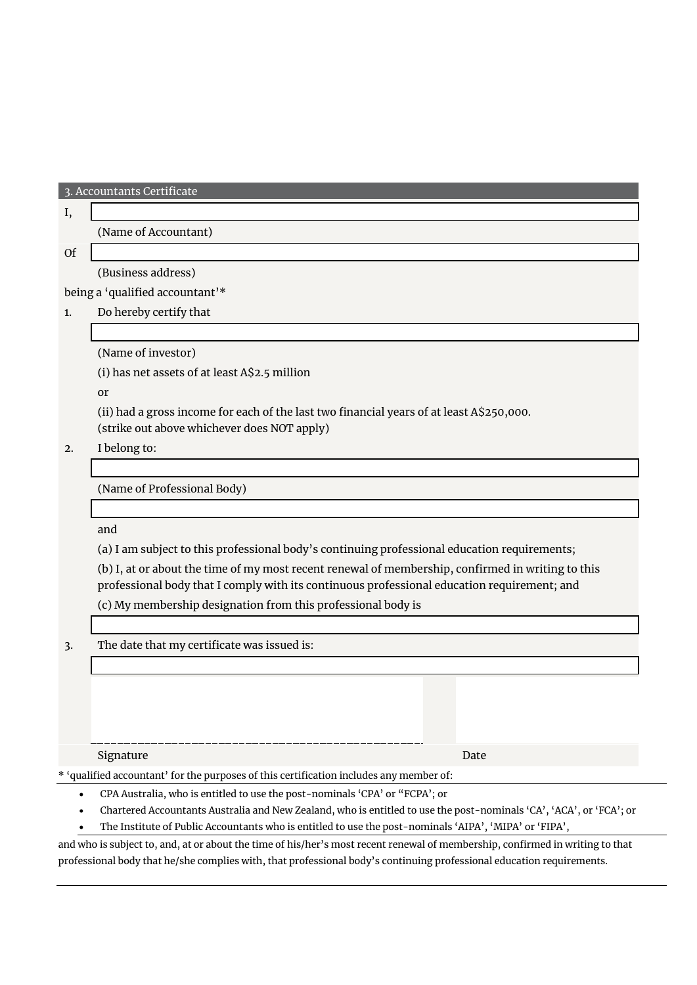3. Accountants Certificate

## I,

(Name of Accountant)

## Of

(Business address)

being a 'qualified accountant'\*

1. Do hereby certify that

(Name of investor)

(i) has net assets of at least A\$2.5 million

or

(ii) had a gross income for each of the last two financial years of at least A\$250,000.

(strike out above whichever does NOT apply)

2. I belong to:

(Name of Professional Body)

and

(a) I am subject to this professional body's continuing professional education requirements;

(b) I, at or about the time of my most recent renewal of membership, confirmed in writing to this professional body that I comply with its continuous professional education requirement; and

(c) My membership designation from this professional body is

3. The date that my certificate was issued is:

Signature Date Date of the Contract of the Contract of the Date Date Date Date

\* 'qualified accountant' for the purposes of this certification includes any member of:

- CPA Australia, who is entitled to use the post-nominals 'CPA' or "FCPA'; or
- Chartered Accountants Australia and New Zealand, who is entitled to use the post-nominals 'CA', 'ACA', or 'FCA'; or
- The Institute of Public Accountants who is entitled to use the post-nominals 'AIPA', 'MIPA' or 'FIPA',

and who is subject to, and, at or about the time of his/her's most recent renewal of membership, confirmed in writing to that professional body that he/she complies with, that professional body's continuing professional education requirements.